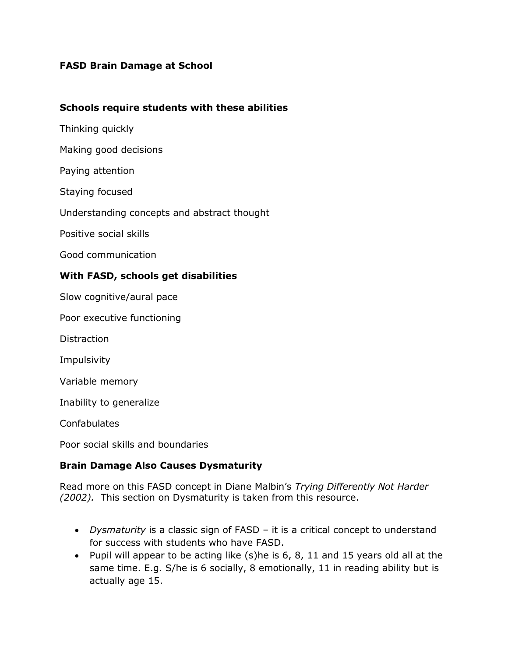# **FASD Brain Damage at School**

#### **Schools require students with these abilities**

- Thinking quickly
- Making good decisions
- Paying attention
- Staying focused
- Understanding concepts and abstract thought
- Positive social skills
- Good communication

### **With FASD, schools get disabilities**

Slow cognitive/aural pace

Poor executive functioning

**Distraction** 

Impulsivity

Variable memory

Inability to generalize

Confabulates

Poor social skills and boundaries

### **Brain Damage Also Causes Dysmaturity**

Read more on this FASD concept in Diane Malbin's *Trying Differently Not Harder (2002).* This section on Dysmaturity is taken from this resource.

- *Dysmaturity* is a classic sign of FASD it is a critical concept to understand for success with students who have FASD.
- Pupil will appear to be acting like  $(s)$ he is 6, 8, 11 and 15 years old all at the same time. E.g. S/he is 6 socially, 8 emotionally, 11 in reading ability but is actually age 15.